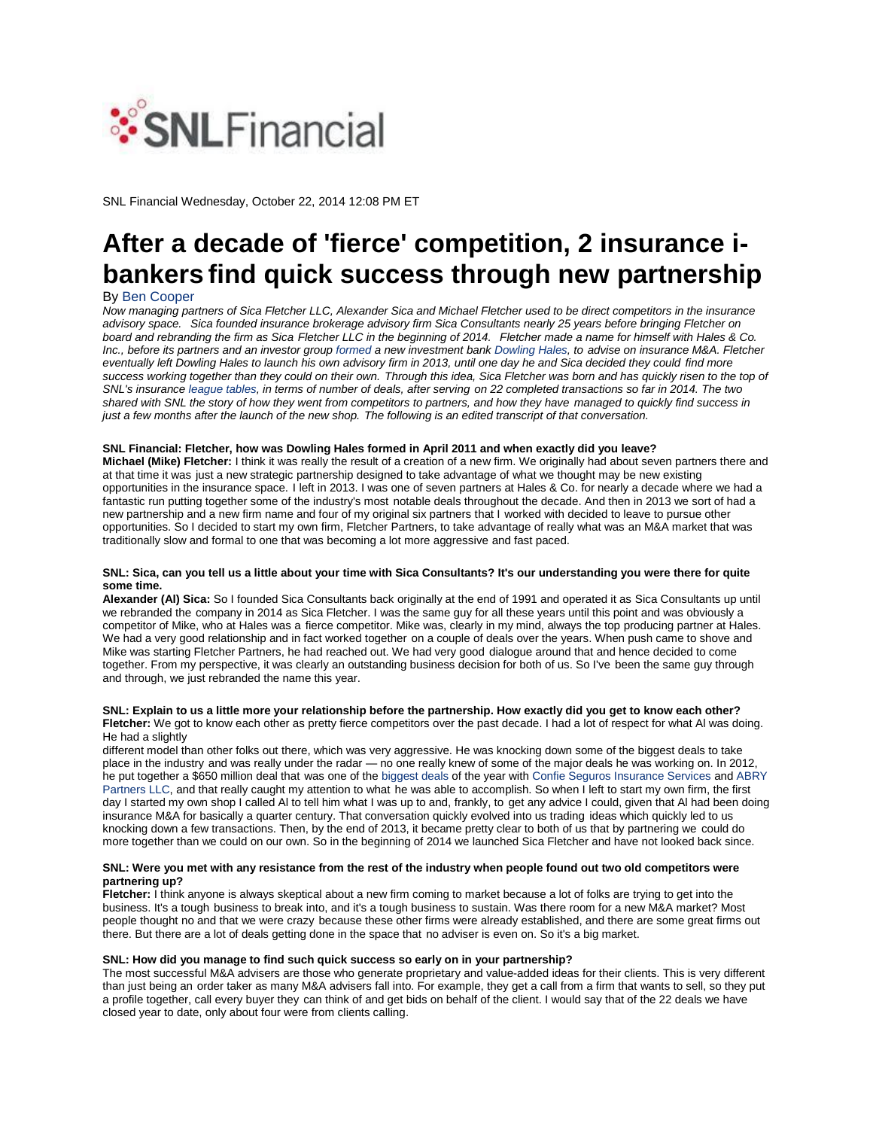

SNL Financial Wednesday, October 22, 2014 12:08 PM ET

# **After a decade of 'fierce' competition, 2 insurance ibankers find quick success through new partnership**

### By Ben Cooper

*Now managing partners of Sica Fletcher LLC, Alexander Sica and Michael Fletcher used to be direct competitors in the insurance advisory space. Sica founded insurance brokerage advisory firm Sica Consultants nearly 25 years before bringing Fletcher on board and rebranding the firm as Sica Fletcher LLC in the beginning of 2014. Fletcher made a name for himself with Hales & Co. Inc., before its partners and an investor group formed a new investment bank Dowling Hales, to advise on insurance M&A. Fletcher eventually left Dowling Hales to launch his own advisory firm in 2013, until one day he and Sica decided they could find more success working together than they could on their own. Through this idea, Sica Fletcher was born and has quickly risen to the top of SNL's insurance league tables, in terms of number of deals, after serving on 22 completed transactions so far in 2014. The two shared with SNL the story of how they went from competitors to partners, and how they have managed to quickly find success in just a few months after the launch of the new shop. The following is an edited transcript of that conversation.*

### **SNL Financial: Fletcher, how was Dowling Hales formed in April 2011 and when exactly did you leave?**

**Michael (Mike) Fletcher:** I think it was really the result of a creation of a new firm. We originally had about seven partners there and at that time it was just a new strategic partnership designed to take advantage of what we thought may be new existing opportunities in the insurance space. I left in 2013. I was one of seven partners at Hales & Co. for nearly a decade where we had a fantastic run putting together some of the industry's most notable deals throughout the decade. And then in 2013 we sort of had a new partnership and a new firm name and four of my original six partners that I worked with decided to leave to pursue other opportunities. So I decided to start my own firm, Fletcher Partners, to take advantage of really what was an M&A market that was traditionally slow and formal to one that was becoming a lot more aggressive and fast paced.

### **SNL: Sica, can you tell us a little about your time with Sica Consultants? It's our understanding you were there for quite some time.**

**Alexander (Al) Sica:** So I founded Sica Consultants back originally at the end of 1991 and operated it as Sica Consultants up until we rebranded the company in 2014 as Sica Fletcher. I was the same guy for all these years until this point and was obviously a competitor of Mike, who at Hales was a fierce competitor. Mike was, clearly in my mind, always the top producing partner at Hales. We had a very good relationship and in fact worked together on a couple of deals over the years. When push came to shove and Mike was starting Fletcher Partners, he had reached out. We had very good dialogue around that and hence decided to come together. From my perspective, it was clearly an outstanding business decision for both of us. So I've been the same guy through and through, we just rebranded the name this year.

#### **SNL: Explain to us a little more your relationship before the partnership. How exactly did you get to know each other? Fletcher:** We got to know each other as pretty fierce competitors over the past decade. I had a lot of respect for what Al was doing. He had a slightly

different model than other folks out there, which was very aggressive. He was knocking down some of the biggest deals to take place in the industry and was really under the radar — no one really knew of some of the major deals he was working on. In 2012, he put together a \$650 million deal that was one of the biggest deals of the year with Confie Seguros Insurance Services and ABRY Partners LLC, and that really caught my attention to what he was able to accomplish. So when I left to start my own firm, the first day I started my own shop I called Al to tell him what I was up to and, frankly, to get any advice I could, given that Al had been doing insurance M&A for basically a quarter century. That conversation quickly evolved into us trading ideas which quickly led to us knocking down a few transactions. Then, by the end of 2013, it became pretty clear to both of us that by partnering we could do more together than we could on our own. So in the beginning of 2014 we launched Sica Fletcher and have not looked back since.

### **SNL: Were you met with any resistance from the rest of the industry when people found out two old competitors were partnering up?**

**Fletcher:** I think anyone is always skeptical about a new firm coming to market because a lot of folks are trying to get into the business. It's a tough business to break into, and it's a tough business to sustain. Was there room for a new M&A market? Most people thought no and that we were crazy because these other firms were already established, and there are some great firms out there. But there are a lot of deals getting done in the space that no adviser is even on. So it's a big market.

#### **SNL: How did you manage to find such quick success so early on in your partnership?**

The most successful M&A advisers are those who generate proprietary and value-added ideas for their clients. This is very different than just being an order taker as many M&A advisers fall into. For example, they get a call from a firm that wants to sell, so they put a profile together, call every buyer they can think of and get bids on behalf of the client. I would say that of the 22 deals we have closed year to date, only about four were from clients calling.